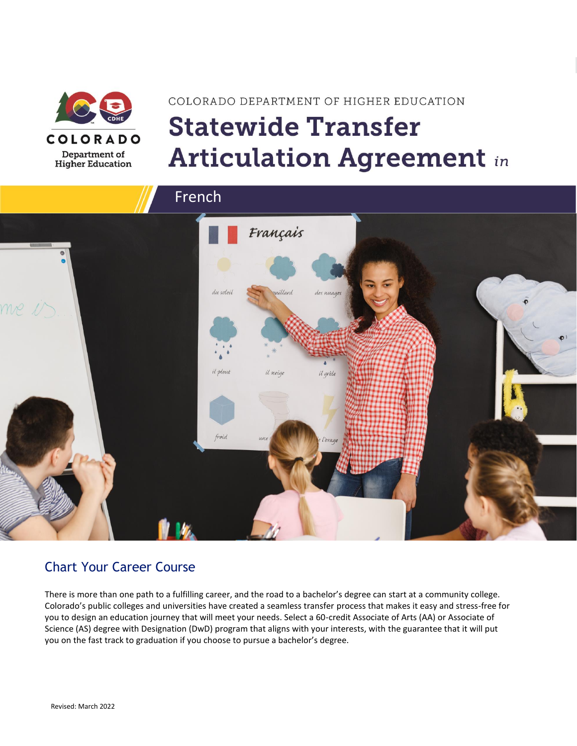

# COLORADO DEPARTMENT OF HIGHER EDUCATION **Statewide Transfer Articulation Agreement in**



### Chart Your Career Course

There is more than one path to a fulfilling career, and the road to a bachelor's degree can start at a community college. Colorado's public colleges and universities have created a seamless transfer process that makes it easy and stress-free for you to design an education journey that will meet your needs. Select a 60-credit Associate of Arts (AA) or Associate of Science (AS) degree with Designation (DwD) program that aligns with your interests, with the guarantee that it will put you on the fast track to graduation if you choose to pursue a bachelor's degree.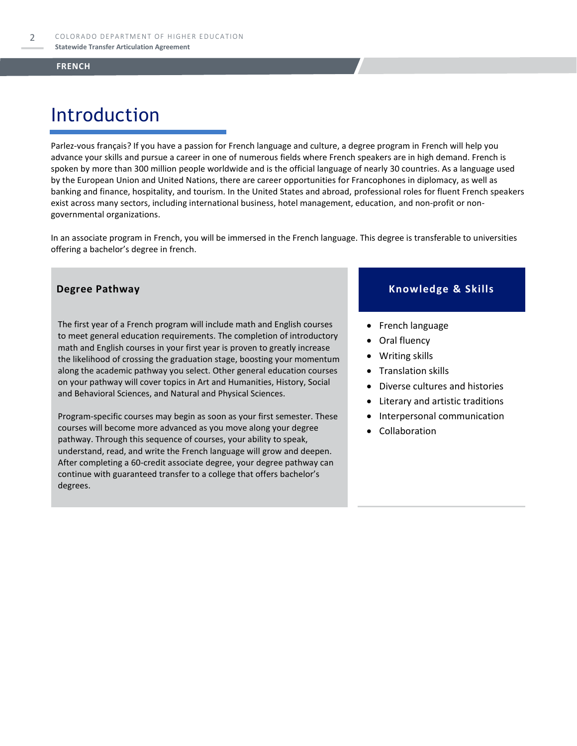# Introduction

Parlez-vous français? If you have a passion for French language and culture, a degree program in French will help you advance your skills and pursue a career in one of numerous fields where French speakers are in high demand. French is spoken by more than 300 million people worldwide and is the official language of nearly 30 countries. As a language used by the European Union and United Nations, there are career opportunities for Francophones in diplomacy, as well as banking and finance, hospitality, and tourism. In the United States and abroad, professional roles for fluent French speakers exist across many sectors, including international business, hotel management, education, and non-profit or nongovernmental organizations.

In an associate program in French, you will be immersed in the French language. This degree is transferable to universities offering a bachelor's degree in french.

The first year of a French program will include math and English courses to meet general education requirements. The completion of introductory math and English courses in your first year is proven to greatly increase the likelihood of crossing the graduation stage, boosting your momentum along the academic pathway you select. Other general education courses on your pathway will cover topics in Art and Humanities, History, Social and Behavioral Sciences, and Natural and Physical Sciences.

Program-specific courses may begin as soon as your first semester. These courses will become more advanced as you move along your degree pathway. Through this sequence of courses, your ability to speak, understand, read, and write the French language will grow and deepen. After completing a 60-credit associate degree, your degree pathway can continue with guaranteed transfer to a college that offers bachelor's degrees.

#### **Degree Pathway Knowledge & Skills**

- French language
- Oral fluency
- Writing skills
- Translation skills
- Diverse cultures and histories
- Literary and artistic traditions
- Interpersonal communication
- **Collaboration**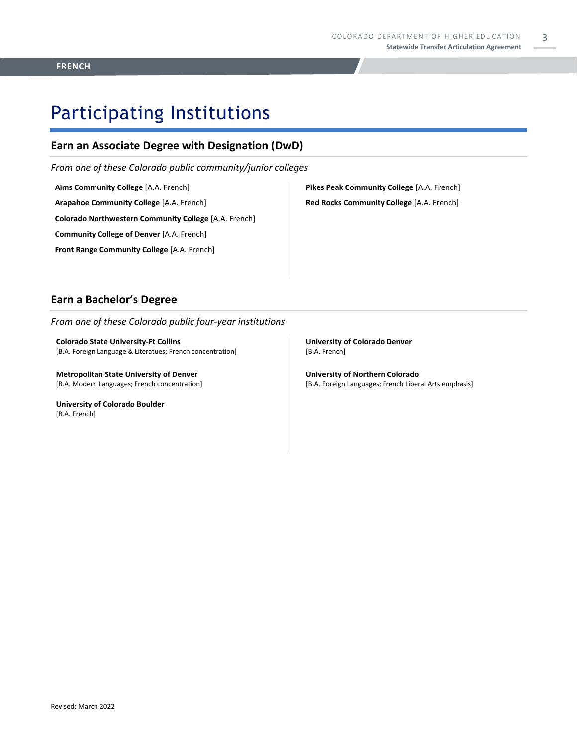### Participating Institutions

### **Earn an Associate Degree with Designation (DwD)**

*From one of these Colorado public community/junior colleges*

**Aims Community College** [A.A. French]

**Arapahoe Community College** [A.A. French]

**Colorado Northwestern Community College** [A.A. French]

**Community College of Denver** [A.A. French]

**Front Range Community College** [A.A. French]

**Pikes Peak Community College** [A.A. French] **Red Rocks Community College** [A.A. French]

#### **Earn a Bachelor's Degree**

*From one of these Colorado public four-year institutions*

**Colorado State University-Ft Collins**  [B.A. Foreign Language & Literatues; French concentration]

**Metropolitan State University of Denver**  [B.A. Modern Languages; French concentration]

**University of Colorado Boulder**  [B.A. French]

**University of Colorado Denver** [B.A. French]

**University of Northern Colorado** [B.A. Foreign Languages; French Liberal Arts emphasis]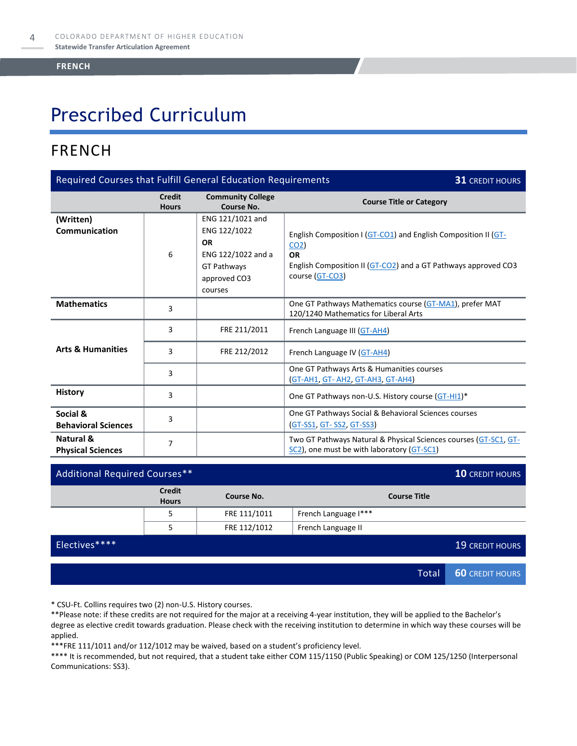# Prescribed Curriculum

### FRENCH

| Required Courses that Fulfill General Education Requirements<br><b>31 CREDIT HOURS</b> |                               |                                                                                                                      |                                                                                                                                                                                     |  |
|----------------------------------------------------------------------------------------|-------------------------------|----------------------------------------------------------------------------------------------------------------------|-------------------------------------------------------------------------------------------------------------------------------------------------------------------------------------|--|
|                                                                                        | <b>Credit</b><br><b>Hours</b> | <b>Community College</b><br>Course No.                                                                               | <b>Course Title or Category</b>                                                                                                                                                     |  |
| (Written)<br>Communication                                                             | 6                             | ENG 121/1021 and<br>ENG 122/1022<br><b>OR</b><br>ENG 122/1022 and a<br><b>GT Pathways</b><br>approved CO3<br>courses | English Composition I (GT-CO1) and English Composition II (GT-<br>CO <sub>2</sub><br><b>OR</b><br>English Composition II (GT-CO2) and a GT Pathways approved CO3<br>course (GT-CO3) |  |
| <b>Mathematics</b>                                                                     | 3                             |                                                                                                                      | One GT Pathways Mathematics course (GT-MA1), prefer MAT<br>120/1240 Mathematics for Liberal Arts                                                                                    |  |
|                                                                                        | 3                             | FRE 211/2011                                                                                                         | French Language III (GT-AH4)                                                                                                                                                        |  |
| <b>Arts &amp; Humanities</b>                                                           | 3                             | FRE 212/2012                                                                                                         | French Language IV (GT-AH4)                                                                                                                                                         |  |
|                                                                                        | 3                             |                                                                                                                      | One GT Pathways Arts & Humanities courses<br>(GT-AH1, GT-AH2, GT-AH3, GT-AH4)                                                                                                       |  |
| <b>History</b>                                                                         | 3                             |                                                                                                                      | One GT Pathways non-U.S. History course (GT-HI1)*                                                                                                                                   |  |
| Social &<br><b>Behavioral Sciences</b>                                                 | 3                             |                                                                                                                      | One GT Pathways Social & Behavioral Sciences courses<br><b>(GT-SS1, GT-SS2, GT-SS3)</b>                                                                                             |  |
| Natural &<br><b>Physical Sciences</b>                                                  | 7                             |                                                                                                                      | Two GT Pathways Natural & Physical Sciences courses (GT-SC1, GT-<br>SC2), one must be with laboratory (GT-SC1)                                                                      |  |

| Additional Required Courses** |                               |              |                      |                     | <b>10 CREDIT HOURS</b> |
|-------------------------------|-------------------------------|--------------|----------------------|---------------------|------------------------|
|                               | <b>Credit</b><br><b>Hours</b> | Course No.   |                      | <b>Course Title</b> |                        |
|                               | 5                             | FRE 111/1011 | French Language I*** |                     |                        |
|                               | 5                             | FRE 112/1012 | French Language II   |                     |                        |
| Electives****                 |                               |              |                      |                     | <b>19 CREDIT HOURS</b> |
|                               |                               |              |                      |                     |                        |
|                               |                               |              |                      | Total               | <b>60 CREDIT HOURS</b> |

\* CSU-Ft. Collins requires two (2) non-U.S. History courses.

\*\*Please note: if these credits are not required for the major at a receiving 4-year institution, they will be applied to the Bachelor's degree as elective credit towards graduation. Please check with the receiving institution to determine in which way these courses will be applied.

\*\*\*FRE 111/1011 and/or 112/1012 may be waived, based on a student's proficiency level.

\*\*\*\* It is recommended, but not required, that a student take either COM 115/1150 (Public Speaking) or COM 125/1250 (Interpersonal Communications: SS3).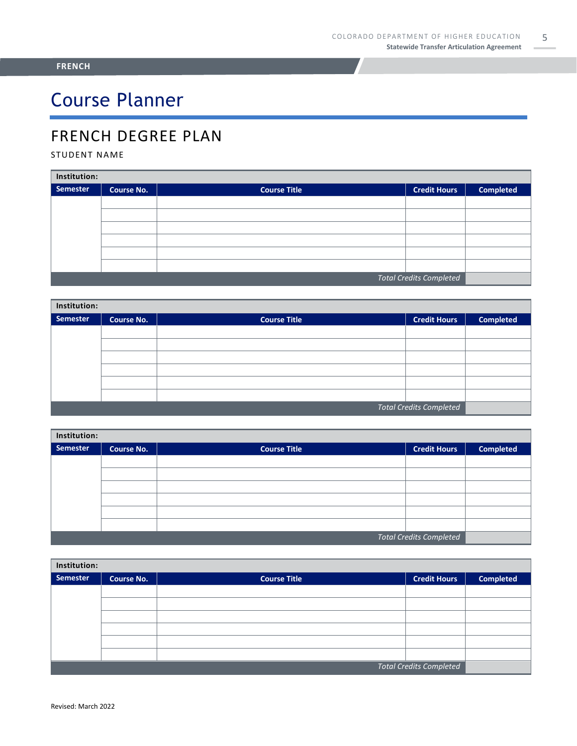# Course Planner

### FRENCH DEGREE PLAN

#### STUDENT NAME

| Institution:                   |                   |                     |                     |                  |  |  |
|--------------------------------|-------------------|---------------------|---------------------|------------------|--|--|
| Semester                       | <b>Course No.</b> | <b>Course Title</b> | <b>Credit Hours</b> | <b>Completed</b> |  |  |
|                                |                   |                     |                     |                  |  |  |
|                                |                   |                     |                     |                  |  |  |
|                                |                   |                     |                     |                  |  |  |
|                                |                   |                     |                     |                  |  |  |
|                                |                   |                     |                     |                  |  |  |
|                                |                   |                     |                     |                  |  |  |
| <b>Total Credits Completed</b> |                   |                     |                     |                  |  |  |

| Institution: |                   |                     |                                |                  |  |  |
|--------------|-------------------|---------------------|--------------------------------|------------------|--|--|
| Semester     | <b>Course No.</b> | <b>Course Title</b> | <b>Credit Hours</b>            | <b>Completed</b> |  |  |
|              |                   |                     |                                |                  |  |  |
|              |                   |                     |                                |                  |  |  |
|              |                   |                     |                                |                  |  |  |
|              |                   |                     |                                |                  |  |  |
|              |                   |                     |                                |                  |  |  |
|              |                   |                     |                                |                  |  |  |
|              |                   |                     | <b>Total Credits Completed</b> |                  |  |  |

| Institution:                   |                   |                     |                     |                  |  |  |
|--------------------------------|-------------------|---------------------|---------------------|------------------|--|--|
| Semester                       | <b>Course No.</b> | <b>Course Title</b> | <b>Credit Hours</b> | <b>Completed</b> |  |  |
|                                |                   |                     |                     |                  |  |  |
|                                |                   |                     |                     |                  |  |  |
|                                |                   |                     |                     |                  |  |  |
|                                |                   |                     |                     |                  |  |  |
|                                |                   |                     |                     |                  |  |  |
|                                |                   |                     |                     |                  |  |  |
| <b>Total Credits Completed</b> |                   |                     |                     |                  |  |  |

| Institution:                   |                   |                     |                     |                  |  |
|--------------------------------|-------------------|---------------------|---------------------|------------------|--|
| Semester                       | <b>Course No.</b> | <b>Course Title</b> | <b>Credit Hours</b> | <b>Completed</b> |  |
|                                |                   |                     |                     |                  |  |
|                                |                   |                     |                     |                  |  |
|                                |                   |                     |                     |                  |  |
|                                |                   |                     |                     |                  |  |
|                                |                   |                     |                     |                  |  |
|                                |                   |                     |                     |                  |  |
| <b>Total Credits Completed</b> |                   |                     |                     |                  |  |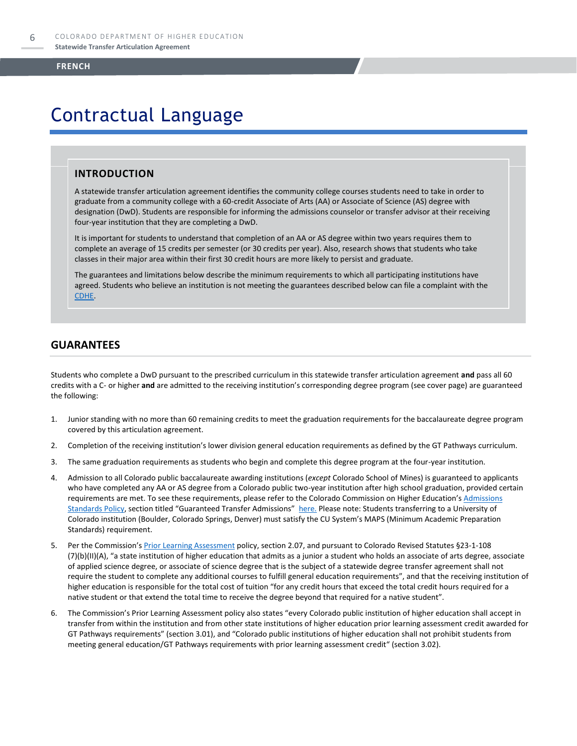### Contractual Language

#### **INTRODUCTION**

A statewide transfer articulation agreement identifies the community college courses students need to take in order to graduate from a community college with a 60-credit Associate of Arts (AA) or Associate of Science (AS) degree with designation (DwD). Students are responsible for informing the admissions counselor or transfer advisor at their receiving four-year institution that they are completing a DwD.

It is important for students to understand that completion of an AA or AS degree within two years requires them to complete an average of 15 credits per semester (or 30 credits per year). Also, research shows that students who take classes in their major area within their first 30 credit hours are more likely to persist and graduate.

The guarantees and limitations below describe the minimum requirements to which all participating institutions have agreed. Students who believe an institution is not meeting the guarantees described below can file a complaint with the [CDHE.](https://highered.colorado.gov/filing-student-complaint)

#### **GUARANTEES**

Students who complete a DwD pursuant to the prescribed curriculum in this statewide transfer articulation agreement **and** pass all 60 credits with a C- or higher **and** are admitted to the receiving institution's corresponding degree program (see cover page) are guaranteed the following:

- 1. Junior standing with no more than 60 remaining credits to meet the graduation requirements for the baccalaureate degree program covered by this articulation agreement.
- 2. Completion of the receiving institution's lower division general education requirements as defined by the GT Pathways curriculum.
- 3. The same graduation requirements as students who begin and complete this degree program at the four-year institution.
- 4. Admission to all Colorado public baccalaureate awarding institutions (*except* Colorado School of Mines) is guaranteed to applicants who have completed any AA or AS degree from a Colorado public two-year institution after high school graduation, provided certain requirements are met. To see these requirements, please refer to the Colorado Commission on Higher Education's Admissions [Standards Policy](https://highered.colorado.gov/sites/highered/files/2020-03/i-partf_0.pdf), section titled "Guaranteed Transfer Admissions" [here.](https://highered.colorado.gov/educators/policy-funding/cche-policies-procedures) Please note: Students transferring to a University of Colorado institution (Boulder, Colorado Springs, Denver) must satisfy the CU System's MAPS (Minimum Academic Preparation Standards) requirement.
- 5. Per the Commission's **[Prior Learning Assessment](https://highered.colorado.gov/sites/highered/files/2020-03/i-partx.pdf)** policy, section 2.07, and pursuant to Colorado Revised Statutes §23-1-108 (7)(b)(II)(A), "a state institution of higher education that admits as a junior a student who holds an associate of arts degree, associate of applied science degree, or associate of science degree that is the subject of a statewide degree transfer agreement shall not require the student to complete any additional courses to fulfill general education requirements", and that the receiving institution of higher education is responsible for the total cost of tuition "for any credit hours that exceed the total credit hours required for a native student or that extend the total time to receive the degree beyond that required for a native student".
- 6. The Commission's Prior Learning Assessment policy also states "every Colorado public institution of higher education shall accept in transfer from within the institution and from other state institutions of higher education prior learning assessment credit awarded for GT Pathways requirements" (section 3.01), and "Colorado public institutions of higher education shall not prohibit students from meeting general education/GT Pathways requirements with prior learning assessment credit" (section 3.02).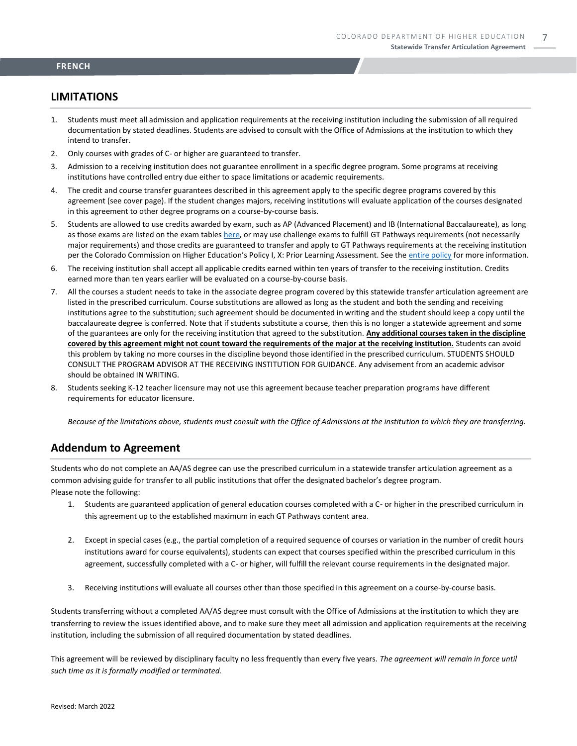#### **LIMITATIONS**

- 1. Students must meet all admission and application requirements at the receiving institution including the submission of all required documentation by stated deadlines. Students are advised to consult with the Office of Admissions at the institution to which they intend to transfer.
- 2. Only courses with grades of C- or higher are guaranteed to transfer.
- 3. Admission to a receiving institution does not guarantee enrollment in a specific degree program. Some programs at receiving institutions have controlled entry due either to space limitations or academic requirements.
- 4. The credit and course transfer guarantees described in this agreement apply to the specific degree programs covered by this agreement (see cover page). If the student changes majors, receiving institutions will evaluate application of the courses designated in this agreement to other degree programs on a course-by-course basis.
- 5. Students are allowed to use credits awarded by exam, such as AP (Advanced Placement) and IB (International Baccalaureate), as long as those exams are listed on the exam table[s here,](https://highered.colorado.gov/get-credit-for-what-you-already-know) or may use challenge exams to fulfill GT Pathways requirements (not necessarily major requirements) and those credits are guaranteed to transfer and apply to GT Pathways requirements at the receiving institution per the Colorado Commission on Higher Education's Policy I, X: Prior Learning Assessment. See the [entire policy](https://highered.colorado.gov/sites/highered/files/2020-03/i-partx.pdf) for more information.
- 6. The receiving institution shall accept all applicable credits earned within ten years of transfer to the receiving institution. Credits earned more than ten years earlier will be evaluated on a course-by-course basis.
- 7. All the courses a student needs to take in the associate degree program covered by this statewide transfer articulation agreement are listed in the prescribed curriculum. Course substitutions are allowed as long as the student and both the sending and receiving institutions agree to the substitution; such agreement should be documented in writing and the student should keep a copy until the baccalaureate degree is conferred. Note that if students substitute a course, then this is no longer a statewide agreement and some of the guarantees are only for the receiving institution that agreed to the substitution. **Any additional courses taken in the discipline covered by this agreement might not count toward the requirements of the major at the receiving institution.** Students can avoid this problem by taking no more courses in the discipline beyond those identified in the prescribed curriculum. STUDENTS SHOULD CONSULT THE PROGRAM ADVISOR AT THE RECEIVING INSTITUTION FOR GUIDANCE. Any advisement from an academic advisor should be obtained IN WRITING.
- 8. Students seeking K-12 teacher licensure may not use this agreement because teacher preparation programs have different requirements for educator licensure.

*Because of the limitations above, students must consult with the Office of Admissions at the institution to which they are transferring.*

#### **Addendum to Agreement**

Students who do not complete an AA/AS degree can use the prescribed curriculum in a statewide transfer articulation agreement as a common advising guide for transfer to all public institutions that offer the designated bachelor's degree program. Please note the following:

- 1. Students are guaranteed application of general education courses completed with a C- or higher in the prescribed curriculum in this agreement up to the established maximum in each GT Pathways content area.
- 2. Except in special cases (e.g., the partial completion of a required sequence of courses or variation in the number of credit hours institutions award for course equivalents), students can expect that courses specified within the prescribed curriculum in this agreement, successfully completed with a C- or higher, will fulfill the relevant course requirements in the designated major.
- 3. Receiving institutions will evaluate all courses other than those specified in this agreement on a course-by-course basis.

Students transferring without a completed AA/AS degree must consult with the Office of Admissions at the institution to which they are transferring to review the issues identified above, and to make sure they meet all admission and application requirements at the receiving institution, including the submission of all required documentation by stated deadlines.

This agreement will be reviewed by disciplinary faculty no less frequently than every five years. *The agreement will remain in force until such time as it is formally modified or terminated.*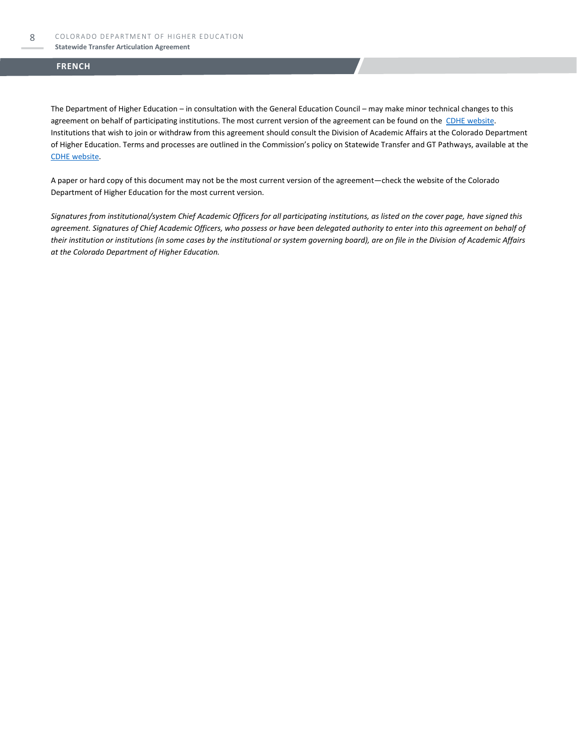#### **Statewide Transfer Articulation Agreement**

#### **FRENCH**

The Department of Higher Education – in consultation with the General Education Council – may make minor technical changes to this agreement on behalf of participating institutions. The most current version of the agreement can be found on the [CDHE website.](https://highered.colorado.gov/transfer-degrees) Institutions that wish to join or withdraw from this agreement should consult the Division of Academic Affairs at the Colorado Department of Higher Education. Terms and processes are outlined in the Commission's policy on Statewide Transfer and GT Pathways, available at the [CDHE website.](https://highered.colorado.gov/educators/policy-funding/general-education-ge-council/gtpathways/transfer-agreements)

A paper or hard copy of this document may not be the most current version of the agreement—check the website of the Colorado Department of Higher Education for the most current version.

*Signatures from institutional/system Chief Academic Officers for all participating institutions, as listed on the cover page, have signed this agreement. Signatures of Chief Academic Officers, who possess or have been delegated authority to enter into this agreement on behalf of their institution or institutions (in some cases by the institutional or system governing board), are on file in the Division of Academic Affairs at the Colorado Department of Higher Education.*